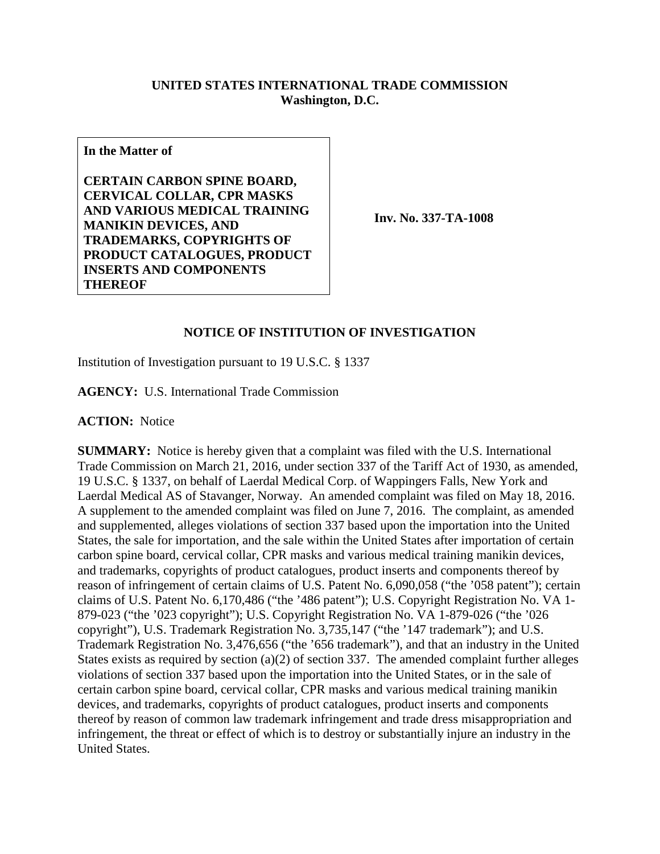## **UNITED STATES INTERNATIONAL TRADE COMMISSION Washington, D.C.**

**In the Matter of**

**CERTAIN CARBON SPINE BOARD, CERVICAL COLLAR, CPR MASKS AND VARIOUS MEDICAL TRAINING MANIKIN DEVICES, AND TRADEMARKS, COPYRIGHTS OF PRODUCT CATALOGUES, PRODUCT INSERTS AND COMPONENTS THEREOF**

**Inv. No. 337-TA-1008**

## **NOTICE OF INSTITUTION OF INVESTIGATION**

Institution of Investigation pursuant to 19 U.S.C. § 1337

**AGENCY:** U.S. International Trade Commission

**ACTION:** Notice

**SUMMARY:** Notice is hereby given that a complaint was filed with the U.S. International Trade Commission on March 21, 2016, under section 337 of the Tariff Act of 1930, as amended, 19 U.S.C. § 1337, on behalf of Laerdal Medical Corp. of Wappingers Falls, New York and Laerdal Medical AS of Stavanger, Norway. An amended complaint was filed on May 18, 2016. A supplement to the amended complaint was filed on June 7, 2016. The complaint, as amended and supplemented, alleges violations of section 337 based upon the importation into the United States, the sale for importation, and the sale within the United States after importation of certain carbon spine board, cervical collar, CPR masks and various medical training manikin devices, and trademarks, copyrights of product catalogues, product inserts and components thereof by reason of infringement of certain claims of U.S. Patent No. 6,090,058 ("the '058 patent"); certain claims of U.S. Patent No. 6,170,486 ("the '486 patent"); U.S. Copyright Registration No. VA 1- 879-023 ("the '023 copyright"); U.S. Copyright Registration No. VA 1-879-026 ("the '026 copyright"), U.S. Trademark Registration No. 3,735,147 ("the '147 trademark"); and U.S. Trademark Registration No. 3,476,656 ("the '656 trademark"), and that an industry in the United States exists as required by section (a)(2) of section 337. The amended complaint further alleges violations of section 337 based upon the importation into the United States, or in the sale of certain carbon spine board, cervical collar, CPR masks and various medical training manikin devices, and trademarks, copyrights of product catalogues, product inserts and components thereof by reason of common law trademark infringement and trade dress misappropriation and infringement, the threat or effect of which is to destroy or substantially injure an industry in the United States.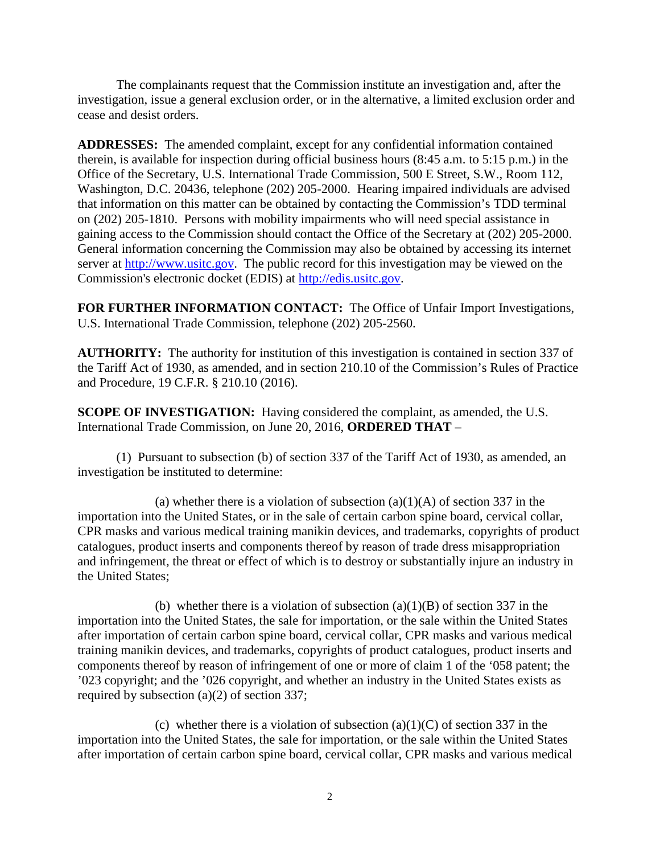The complainants request that the Commission institute an investigation and, after the investigation, issue a general exclusion order, or in the alternative, a limited exclusion order and cease and desist orders.

**ADDRESSES:** The amended complaint, except for any confidential information contained therein, is available for inspection during official business hours (8:45 a.m. to 5:15 p.m.) in the Office of the Secretary, U.S. International Trade Commission, 500 E Street, S.W., Room 112, Washington, D.C. 20436, telephone (202) 205-2000. Hearing impaired individuals are advised that information on this matter can be obtained by contacting the Commission's TDD terminal on (202) 205-1810. Persons with mobility impairments who will need special assistance in gaining access to the Commission should contact the Office of the Secretary at (202) 205-2000. General information concerning the Commission may also be obtained by accessing its internet server at [http://www.usitc.gov.](http://www.usitc.gov/) The public record for this investigation may be viewed on the Commission's electronic docket (EDIS) at [http://edis.usitc.gov.](http://edis.usitc.gov/)

**FOR FURTHER INFORMATION CONTACT:** The Office of Unfair Import Investigations, U.S. International Trade Commission, telephone (202) 205-2560.

**AUTHORITY:** The authority for institution of this investigation is contained in section 337 of the Tariff Act of 1930, as amended, and in section 210.10 of the Commission's Rules of Practice and Procedure, 19 C.F.R. § 210.10 (2016).

**SCOPE OF INVESTIGATION:** Having considered the complaint, as amended, the U.S. International Trade Commission, on June 20, 2016, **ORDERED THAT** –

(1) Pursuant to subsection (b) of section 337 of the Tariff Act of 1930, as amended, an investigation be instituted to determine:

(a) whether there is a violation of subsection  $(a)(1)(A)$  of section 337 in the importation into the United States, or in the sale of certain carbon spine board, cervical collar, CPR masks and various medical training manikin devices, and trademarks, copyrights of product catalogues, product inserts and components thereof by reason of trade dress misappropriation and infringement, the threat or effect of which is to destroy or substantially injure an industry in the United States;

(b) whether there is a violation of subsection  $(a)(1)(B)$  of section 337 in the importation into the United States, the sale for importation, or the sale within the United States after importation of certain carbon spine board, cervical collar, CPR masks and various medical training manikin devices, and trademarks, copyrights of product catalogues, product inserts and components thereof by reason of infringement of one or more of claim 1 of the '058 patent; the '023 copyright; and the '026 copyright, and whether an industry in the United States exists as required by subsection (a)(2) of section 337;

(c) whether there is a violation of subsection (a)(1)(C) of section 337 in the importation into the United States, the sale for importation, or the sale within the United States after importation of certain carbon spine board, cervical collar, CPR masks and various medical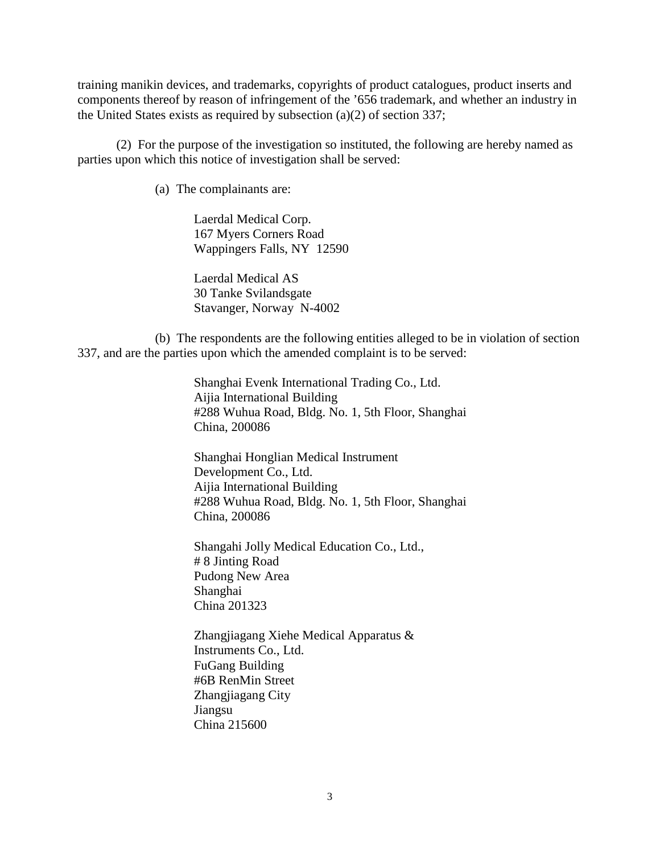training manikin devices, and trademarks, copyrights of product catalogues, product inserts and components thereof by reason of infringement of the '656 trademark, and whether an industry in the United States exists as required by subsection (a)(2) of section 337;

(2) For the purpose of the investigation so instituted, the following are hereby named as parties upon which this notice of investigation shall be served:

(a) The complainants are:

Laerdal Medical Corp. 167 Myers Corners Road Wappingers Falls, NY 12590

Laerdal Medical AS 30 Tanke Svilandsgate Stavanger, Norway N-4002

(b) The respondents are the following entities alleged to be in violation of section 337, and are the parties upon which the amended complaint is to be served:

> Shanghai Evenk International Trading Co., Ltd. Aijia International Building #288 Wuhua Road, Bldg. No. 1, 5th Floor, Shanghai China, 200086

> Shanghai Honglian Medical Instrument Development Co., Ltd. Aijia International Building #288 Wuhua Road, Bldg. No. 1, 5th Floor, Shanghai China, 200086

Shangahi Jolly Medical Education Co., Ltd., # 8 Jinting Road Pudong New Area Shanghai China 201323

Zhangjiagang Xiehe Medical Apparatus & Instruments Co., Ltd. FuGang Building #6B RenMin Street Zhangjiagang City Jiangsu China 215600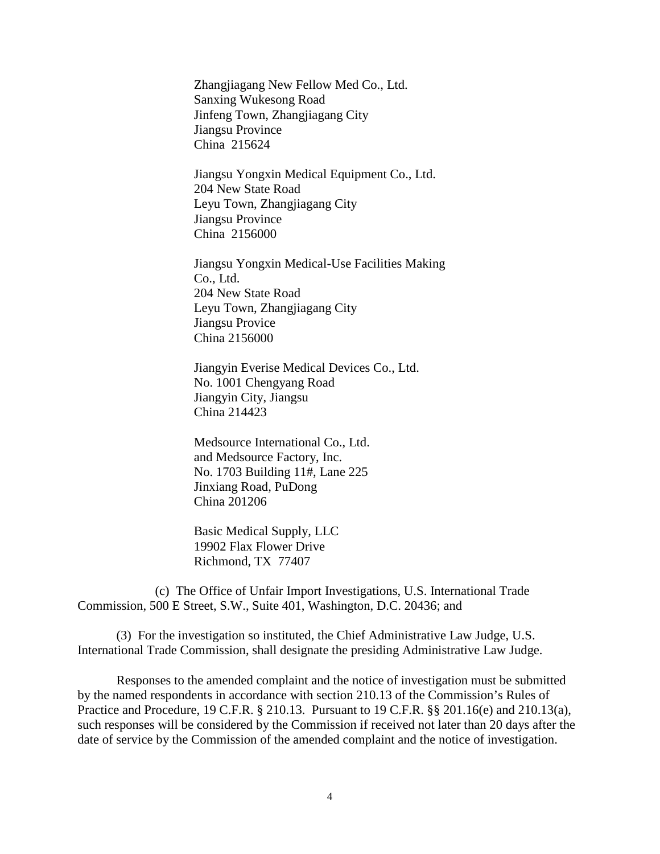Zhangjiagang New Fellow Med Co., Ltd. Sanxing Wukesong Road Jinfeng Town, Zhangjiagang City Jiangsu Province China 215624

Jiangsu Yongxin Medical Equipment Co., Ltd. 204 New State Road Leyu Town, Zhangjiagang City Jiangsu Province China 2156000

Jiangsu Yongxin Medical-Use Facilities Making Co., Ltd. 204 New State Road Leyu Town, Zhangjiagang City Jiangsu Provice China 2156000

Jiangyin Everise Medical Devices Co., Ltd. No. 1001 Chengyang Road Jiangyin City, Jiangsu China 214423

Medsource International Co., Ltd. and Medsource Factory, Inc. No. 1703 Building 11#, Lane 225 Jinxiang Road, PuDong China 201206

Basic Medical Supply, LLC 19902 Flax Flower Drive Richmond, TX 77407

(c) The Office of Unfair Import Investigations, U.S. International Trade Commission, 500 E Street, S.W., Suite 401, Washington, D.C. 20436; and

(3) For the investigation so instituted, the Chief Administrative Law Judge, U.S. International Trade Commission, shall designate the presiding Administrative Law Judge.

Responses to the amended complaint and the notice of investigation must be submitted by the named respondents in accordance with section 210.13 of the Commission's Rules of Practice and Procedure, 19 C.F.R. § 210.13. Pursuant to 19 C.F.R. §§ 201.16(e) and 210.13(a), such responses will be considered by the Commission if received not later than 20 days after the date of service by the Commission of the amended complaint and the notice of investigation.